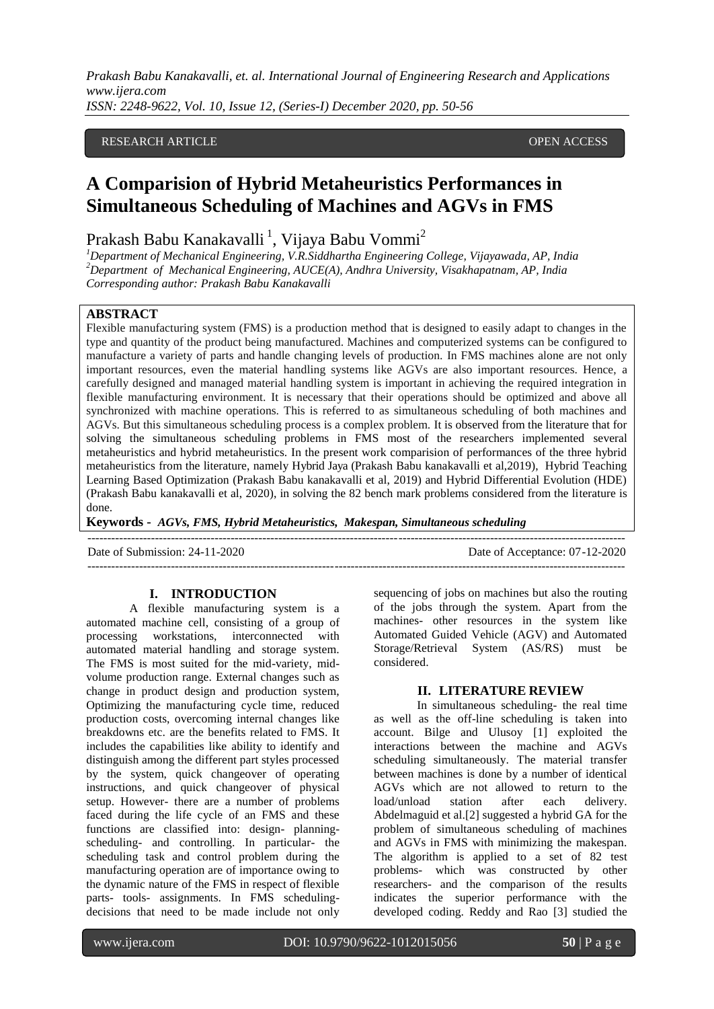## RESEARCH ARTICLE **CONTRACT ARTICLE**

# **A Comparision of Hybrid Metaheuristics Performances in Simultaneous Scheduling of Machines and AGVs in FMS**

Prakash Babu Kanakavalli <sup>1</sup>, Vijaya Babu Vommi<sup>2</sup>

*<sup>1</sup>Department of Mechanical Engineering, V.R.Siddhartha Engineering College, Vijayawada, AP, India <sup>2</sup>Department of Mechanical Engineering, AUCE(A), Andhra University, Visakhapatnam, AP, India Corresponding author: Prakash Babu Kanakavalli*

# **ABSTRACT**

Flexible manufacturing system (FMS) is a production method that is designed to easily adapt to changes in the type and quantity of the product being manufactured. Machines and computerized systems can be configured to manufacture a variety of parts and handle changing levels of production. In FMS machines alone are not only important resources, even the material handling systems like AGVs are also important resources. Hence, a carefully designed and managed material handling system is important in achieving the required integration in flexible manufacturing environment. It is necessary that their operations should be optimized and above all synchronized with machine operations. This is referred to as simultaneous scheduling of both machines and AGVs. But this simultaneous scheduling process is a complex problem. It is observed from the literature that for solving the simultaneous scheduling problems in FMS most of the researchers implemented several metaheuristics and hybrid metaheuristics. In the present work comparision of performances of the three hybrid metaheuristics from the literature, namely Hybrid Jaya (Prakash Babu kanakavalli et al,2019), Hybrid Teaching Learning Based Optimization (Prakash Babu kanakavalli et al, 2019) and Hybrid Differential Evolution (HDE) (Prakash Babu kanakavalli et al, 2020), in solving the 82 bench mark problems considered from the literature is done.

**Keywords -** *AGVs, FMS, Hybrid Metaheuristics, Makespan, Simultaneous scheduling*

---------------------------------------------------------------------------------------------------------------------------------------

---------------------------------------------------------------------------------------------------------------------------------------

Date of Submission: 24-11-2020 Date of Acceptance: 07-12-2020

#### **I. INTRODUCTION**

A flexible manufacturing system is a automated machine cell, consisting of a group of processing workstations, interconnected with automated material handling and storage system. The FMS is most suited for the mid-variety, midvolume production range. External changes such as change in product design and production system, Optimizing the manufacturing cycle time, reduced production costs, overcoming internal changes like breakdowns etc. are the benefits related to FMS. It includes the capabilities like ability to identify and distinguish among the different part styles processed by the system, quick changeover of operating instructions, and quick changeover of physical setup. However- there are a number of problems faced during the life cycle of an FMS and these functions are classified into: design- planningscheduling- and controlling. In particular- the scheduling task and control problem during the manufacturing operation are of importance owing to the dynamic nature of the FMS in respect of flexible parts- tools- assignments. In FMS schedulingdecisions that need to be made include not only

sequencing of jobs on machines but also the routing of the jobs through the system. Apart from the machines- other resources in the system like Automated Guided Vehicle (AGV) and Automated Storage/Retrieval System (AS/RS) must be considered.

## **II. LITERATURE REVIEW**

In simultaneous scheduling- the real time as well as the off-line scheduling is taken into account. Bilge and Ulusoy [1] exploited the interactions between the machine and AGVs scheduling simultaneously. The material transfer between machines is done by a number of identical AGVs which are not allowed to return to the load/unload station after each delivery. Abdelmaguid et al.[2] suggested a hybrid GA for the problem of simultaneous scheduling of machines and AGVs in FMS with minimizing the makespan. The algorithm is applied to a set of 82 test problems- which was constructed by other researchers- and the comparison of the results indicates the superior performance with the developed coding. Reddy and Rao [3] studied the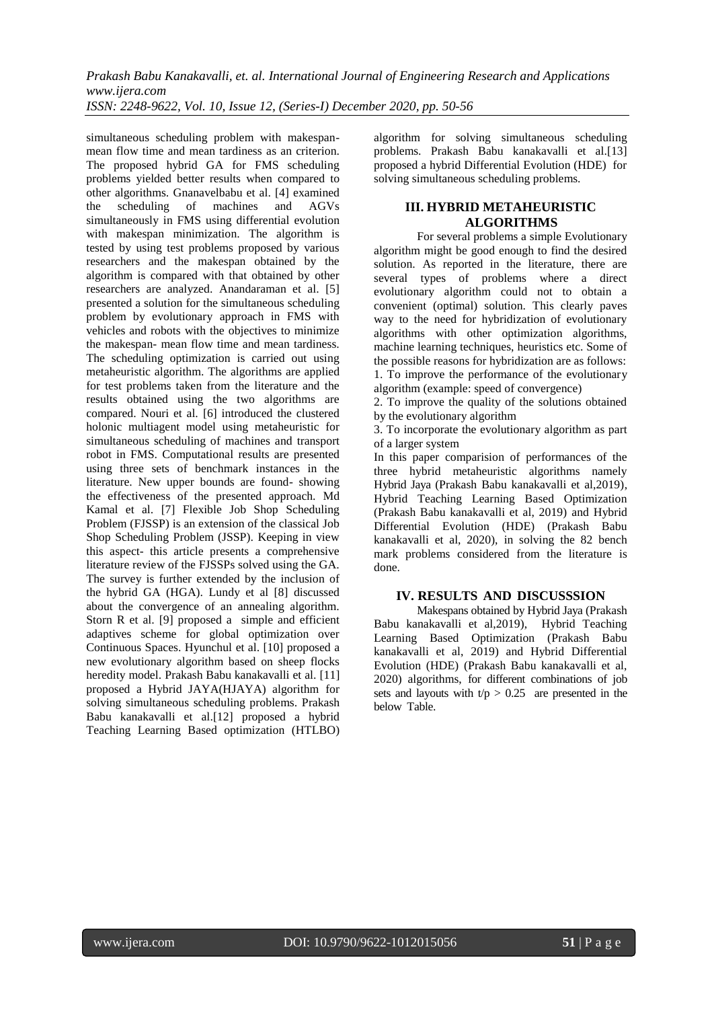simultaneous scheduling problem with makespanmean flow time and mean tardiness as an criterion. The proposed hybrid GA for FMS scheduling problems yielded better results when compared to other algorithms. Gnanavelbabu et al. [4] examined the scheduling of machines and AGVs simultaneously in FMS using differential evolution with makespan minimization. The algorithm is tested by using test problems proposed by various researchers and the makespan obtained by the algorithm is compared with that obtained by other researchers are analyzed. Anandaraman et al. [5] presented a solution for the simultaneous scheduling problem by evolutionary approach in FMS with vehicles and robots with the objectives to minimize the makespan- mean flow time and mean tardiness. The scheduling optimization is carried out using metaheuristic algorithm. The algorithms are applied for test problems taken from the literature and the results obtained using the two algorithms are compared. Nouri et al. [6] introduced the clustered holonic multiagent model using metaheuristic for simultaneous scheduling of machines and transport robot in FMS. Computational results are presented using three sets of benchmark instances in the literature. New upper bounds are found- showing the effectiveness of the presented approach. Md Kamal et al. [7] Flexible Job Shop Scheduling Problem (FJSSP) is an extension of the classical Job Shop Scheduling Problem (JSSP). Keeping in view this aspect- this article presents a comprehensive literature review of the FJSSPs solved using the GA. The survey is further extended by the inclusion of the hybrid GA (HGA). Lundy et al [8] discussed about the convergence of an annealing algorithm. Storn R et al. [9] proposed a simple and efficient adaptives scheme for global optimization over Continuous Spaces. Hyunchul et al. [10] proposed a new evolutionary algorithm based on sheep flocks heredity model. Prakash Babu kanakavalli et al. [11] proposed a Hybrid JAYA(HJAYA) algorithm for solving simultaneous scheduling problems. Prakash Babu kanakavalli et al.[12] proposed a hybrid Teaching Learning Based optimization (HTLBO) algorithm for solving simultaneous scheduling problems. Prakash Babu kanakavalli et al.[13] proposed a hybrid Differential Evolution (HDE) for solving simultaneous scheduling problems.

## **III. HYBRID METAHEURISTIC ALGORITHMS**

For several problems a simple Evolutionary algorithm might be good enough to find the desired solution. As reported in the literature, there are several types of problems where a direct evolutionary algorithm could not to obtain a convenient (optimal) solution. This clearly paves way to the need for hybridization of evolutionary algorithms with other optimization algorithms, machine learning techniques, heuristics etc. Some of the possible reasons for hybridization are as follows: 1. To improve the performance of the evolutionary algorithm (example: speed of convergence)

2. To improve the quality of the solutions obtained by the evolutionary algorithm

3. To incorporate the evolutionary algorithm as part of a larger system

In this paper comparision of performances of the three hybrid metaheuristic algorithms namely Hybrid Jaya (Prakash Babu kanakavalli et al,2019), Hybrid Teaching Learning Based Optimization (Prakash Babu kanakavalli et al, 2019) and Hybrid Differential Evolution (HDE) (Prakash Babu kanakavalli et al, 2020), in solving the 82 bench mark problems considered from the literature is done.

# **IV. RESULTS AND DISCUSSSION**

Makespans obtained by Hybrid Jaya (Prakash Babu kanakavalli et al,2019), Hybrid Teaching Learning Based Optimization (Prakash Babu kanakavalli et al, 2019) and Hybrid Differential Evolution (HDE) (Prakash Babu kanakavalli et al, 2020) algorithms, for different combinations of job sets and layouts with  $t/p > 0.25$  are presented in the below Table.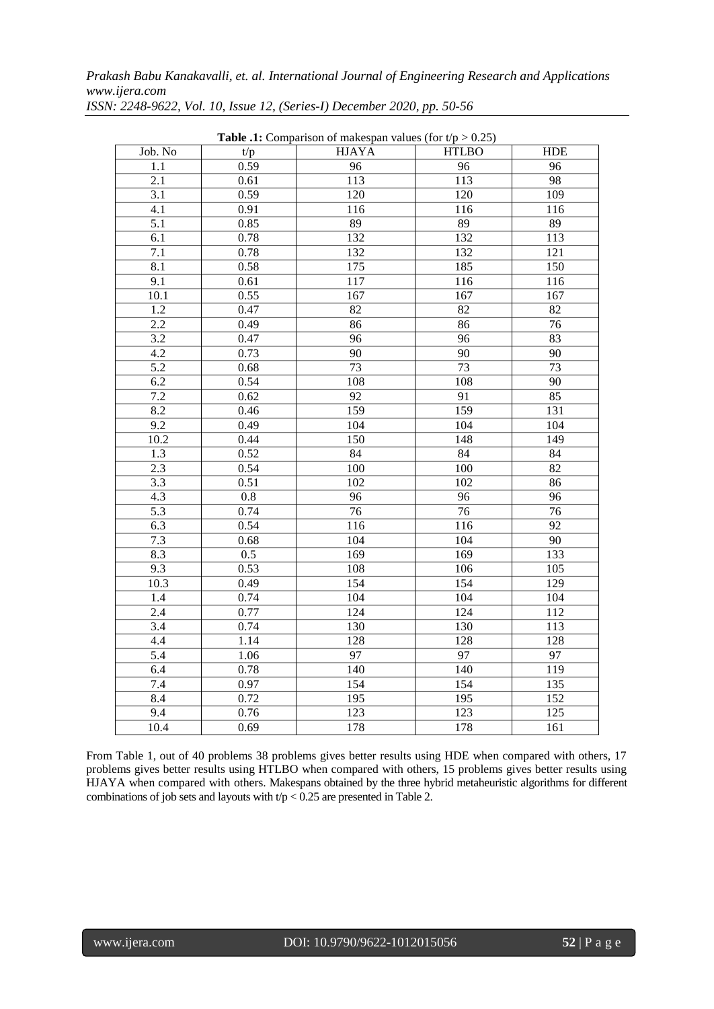*Prakash Babu Kanakavalli, et. al. International Journal of Engineering Research and Applications www.ijera.com*

| <b>Table .1:</b> Comparison of makespan values (for $t/p > 0.25$ ) |         |                  |                  |                  |  |  |  |
|--------------------------------------------------------------------|---------|------------------|------------------|------------------|--|--|--|
| Job. No                                                            | t/p     | <b>HJAYA</b>     | <b>HTLBO</b>     | <b>HDE</b>       |  |  |  |
| 1.1                                                                | 0.59    | 96               | 96               | 96               |  |  |  |
| 2.1                                                                | 0.61    | 113              | 113              | 98               |  |  |  |
| $\overline{3.1}$                                                   | 0.59    | 120              | 120              | 109              |  |  |  |
| 4.1                                                                | 0.91    | 116              | 116              | 116              |  |  |  |
| 5.1                                                                | 0.85    | 89               | 89               | 89               |  |  |  |
| 6.1                                                                | 0.78    | 132              | 132              | 113              |  |  |  |
| 7.1                                                                | 0.78    | 132              | 132              | 121              |  |  |  |
| 8.1                                                                | 0.58    | 175              | 185              | 150              |  |  |  |
| 9.1                                                                | 0.61    | 117              | 116              | 116              |  |  |  |
| 10.1                                                               | 0.55    | 167              | 167              | 167              |  |  |  |
| 1.2                                                                | 0.47    | 82               | 82               | 82               |  |  |  |
| $\overline{2.2}$                                                   | 0.49    | 86               | 86               | $\overline{76}$  |  |  |  |
| 3.2                                                                | 0.47    | 96               | 96               | 83               |  |  |  |
| 4.2                                                                | 0.73    | $\overline{90}$  | 90               | $\overline{90}$  |  |  |  |
| 5.2                                                                | 0.68    | 73               | 73               | 73               |  |  |  |
| 6.2                                                                | 0.54    | 108              | 108              | 90               |  |  |  |
| 7.2                                                                | 0.62    | $\overline{92}$  | $\overline{91}$  | 85               |  |  |  |
| 8.2                                                                | 0.46    | 159              | 159              | 131              |  |  |  |
| $\overline{9.2}$                                                   | 0.49    | 104              | 104              | 104              |  |  |  |
| 10.2                                                               | 0.44    | 150              | 148              | 149              |  |  |  |
| $\overline{1.3}$                                                   | 0.52    | 84               | 84               | 84               |  |  |  |
| 2.3                                                                | 0.54    | 100              | 100              | 82               |  |  |  |
| 3.3                                                                | 0.51    | 102              | 102              | 86               |  |  |  |
| 4.3                                                                | $0.8\,$ | 96               | 96               | 96               |  |  |  |
| 5.3                                                                | 0.74    | 76               | 76               | 76               |  |  |  |
| 6.3                                                                | 0.54    | 116              | 116              | $\overline{92}$  |  |  |  |
| 7.3                                                                | 0.68    | 104              | 104              | $\overline{90}$  |  |  |  |
| 8.3                                                                | 0.5     | 169              | 169              | 133              |  |  |  |
| 9.3                                                                | 0.53    | 108              | 106              | 105              |  |  |  |
| 10.3                                                               | 0.49    | 154              | 154              | 129              |  |  |  |
| 1.4                                                                | 0.74    | 104              | 104              | 104              |  |  |  |
| 2.4                                                                | 0.77    | $\overline{124}$ | $\overline{124}$ | 112              |  |  |  |
| 3.4                                                                | 0.74    | 130              | 130              | 113              |  |  |  |
| 4.4                                                                | 1.14    | 128              | 128              | 128              |  |  |  |
| 5.4                                                                | 1.06    | $\overline{97}$  | $\overline{97}$  | $\overline{97}$  |  |  |  |
| 6.4                                                                | 0.78    | 140              | 140              | 119              |  |  |  |
| 7.4                                                                | 0.97    | 154              | 154              | 135              |  |  |  |
| 8.4                                                                | 0.72    | 195              | 195              | $\overline{152}$ |  |  |  |
| 9.4                                                                | 0.76    | $\overline{123}$ | 123              | 125              |  |  |  |
| 10.4                                                               | 0.69    | 178              | 178              | 161              |  |  |  |

*ISSN: 2248-9622, Vol. 10, Issue 12, (Series-I) December 2020, pp. 50-56*

From Table 1, out of 40 problems 38 problems gives better results using HDE when compared with others, 17 problems gives better results using HTLBO when compared with others, 15 problems gives better results using HJAYA when compared with others. Makespans obtained by the three hybrid metaheuristic algorithms for different combinations of job sets and layouts with  $t/p < 0.25$  are presented in Table 2.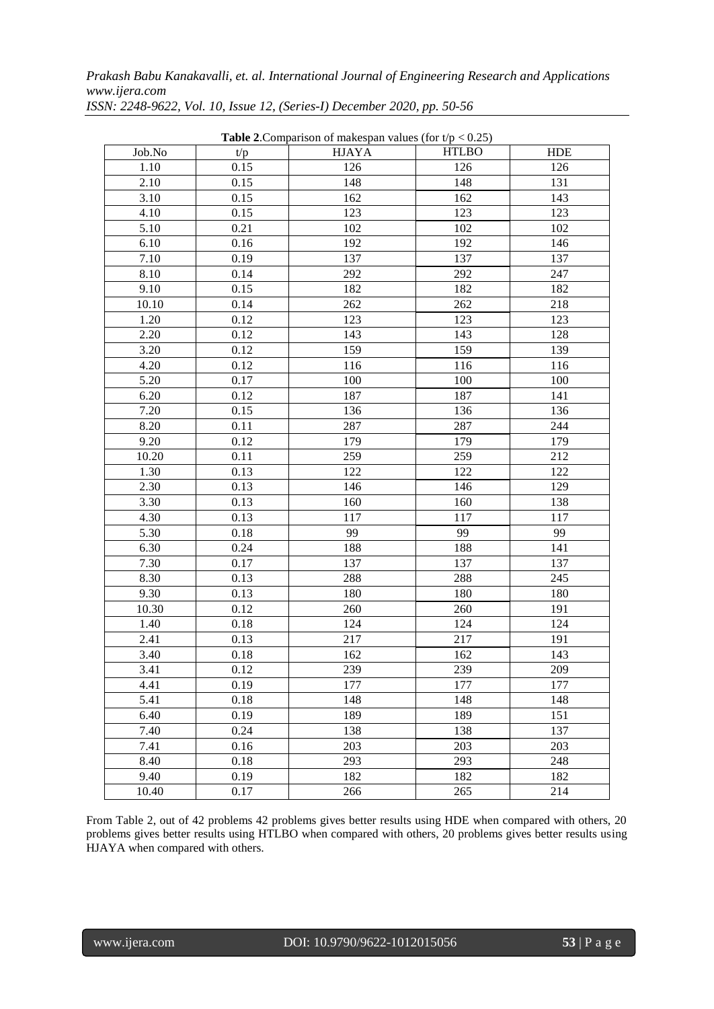*Prakash Babu Kanakavalli, et. al. International Journal of Engineering Research and Applications www.ijera.com*

| <b>Table 2.</b> Comparison of makespan values (for $t/p < 0.25$ ) |      |              |              |            |  |  |  |
|-------------------------------------------------------------------|------|--------------|--------------|------------|--|--|--|
| Job.No                                                            | t/p  | <b>HJAYA</b> | <b>HTLBO</b> | <b>HDE</b> |  |  |  |
| 1.10                                                              | 0.15 | 126          | 126          | 126        |  |  |  |
| 2.10                                                              | 0.15 | 148          | 148          | 131        |  |  |  |
| 3.10                                                              | 0.15 | 162          | 162          | 143        |  |  |  |
| 4.10                                                              | 0.15 | 123          | 123          | 123        |  |  |  |
| 5.10                                                              | 0.21 | 102          | 102          | 102        |  |  |  |
| 6.10                                                              | 0.16 | 192          | 192          | 146        |  |  |  |
| 7.10                                                              | 0.19 | 137          | 137          | 137        |  |  |  |
| 8.10                                                              | 0.14 | 292          | 292          | 247        |  |  |  |
| 9.10                                                              | 0.15 | 182          | 182          | 182        |  |  |  |
| 10.10                                                             | 0.14 | 262          | 262          | 218        |  |  |  |
| 1.20                                                              | 0.12 | 123          | 123          | 123        |  |  |  |
| 2.20                                                              | 0.12 | 143          | 143          | 128        |  |  |  |
| 3.20                                                              | 0.12 | 159          | 159          | 139        |  |  |  |
| 4.20                                                              | 0.12 | 116          | 116          | 116        |  |  |  |
| 5.20                                                              | 0.17 | 100          | 100          | 100        |  |  |  |
| 6.20                                                              | 0.12 | 187          | 187          | 141        |  |  |  |
| 7.20                                                              | 0.15 | 136          | 136          | 136        |  |  |  |
| 8.20                                                              | 0.11 | 287          | 287          | 244        |  |  |  |
| 9.20                                                              | 0.12 | 179          | 179          | 179        |  |  |  |
| 10.20                                                             | 0.11 | 259          | 259          | 212        |  |  |  |
| 1.30                                                              | 0.13 | 122          | 122          | 122        |  |  |  |
| 2.30                                                              | 0.13 | 146          | 146          | 129        |  |  |  |
| 3.30                                                              | 0.13 | 160          | 160          | 138        |  |  |  |
| 4.30                                                              | 0.13 | 117          | 117          | 117        |  |  |  |
| 5.30                                                              | 0.18 | 99           | 99           | 99         |  |  |  |
| 6.30                                                              | 0.24 | 188          | 188          | 141        |  |  |  |
| 7.30                                                              | 0.17 | 137          | 137          | 137        |  |  |  |
| 8.30                                                              | 0.13 | 288          | 288          | 245        |  |  |  |
| 9.30                                                              | 0.13 | 180          | 180          | 180        |  |  |  |
| 10.30                                                             | 0.12 | 260          | 260          | 191        |  |  |  |
| 1.40                                                              | 0.18 | 124          | 124          | 124        |  |  |  |
| 2.41                                                              | 0.13 | 217          | 217          | 191        |  |  |  |
| 3.40                                                              | 0.18 | 162          | 162          | 143        |  |  |  |
| 3.41                                                              | 0.12 | 239          | 239          | 209        |  |  |  |
| 4.41                                                              | 0.19 | 177          | 177          | 177        |  |  |  |
| 5.41                                                              | 0.18 | 148          | 148          | 148        |  |  |  |
| 6.40                                                              | 0.19 | 189          | 189          | 151        |  |  |  |
| 7.40                                                              | 0.24 | 138          | 138          | 137        |  |  |  |
| 7.41                                                              | 0.16 | 203          | 203          | 203        |  |  |  |
| 8.40                                                              | 0.18 | 293          | 293          | 248        |  |  |  |
| 9.40                                                              | 0.19 | 182          | 182          | 182        |  |  |  |
| 10.40                                                             | 0.17 | 266          | 265          | 214        |  |  |  |

*ISSN: 2248-9622, Vol. 10, Issue 12, (Series-I) December 2020, pp. 50-56*

From Table 2, out of 42 problems 42 problems gives better results using HDE when compared with others, 20 problems gives better results using HTLBO when compared with others, 20 problems gives better results using HJAYA when compared with others.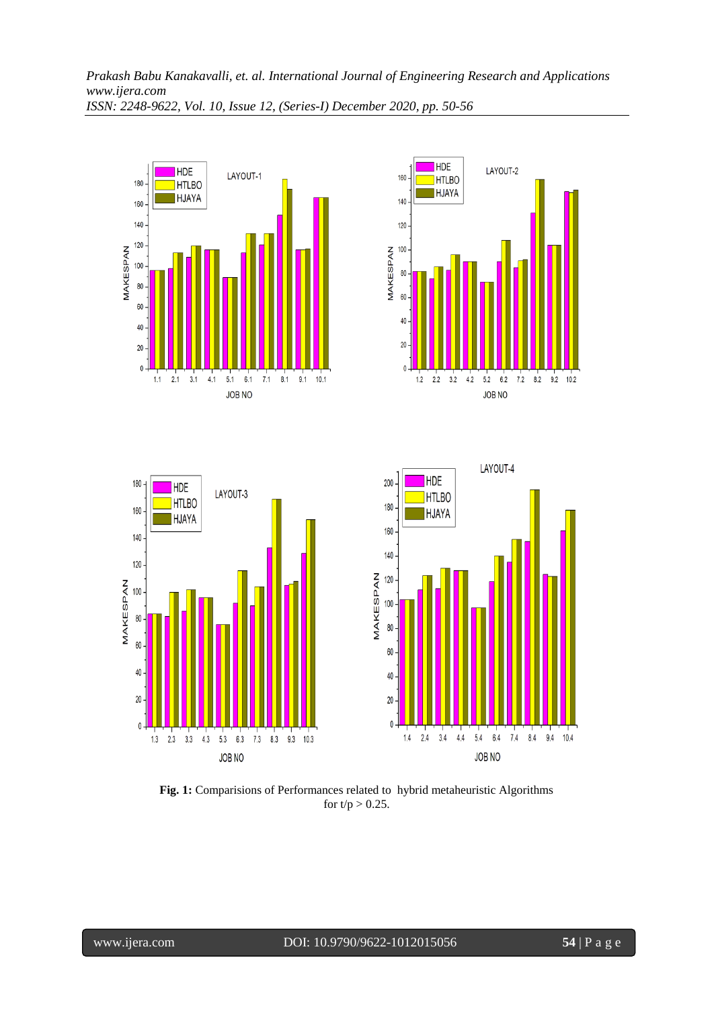







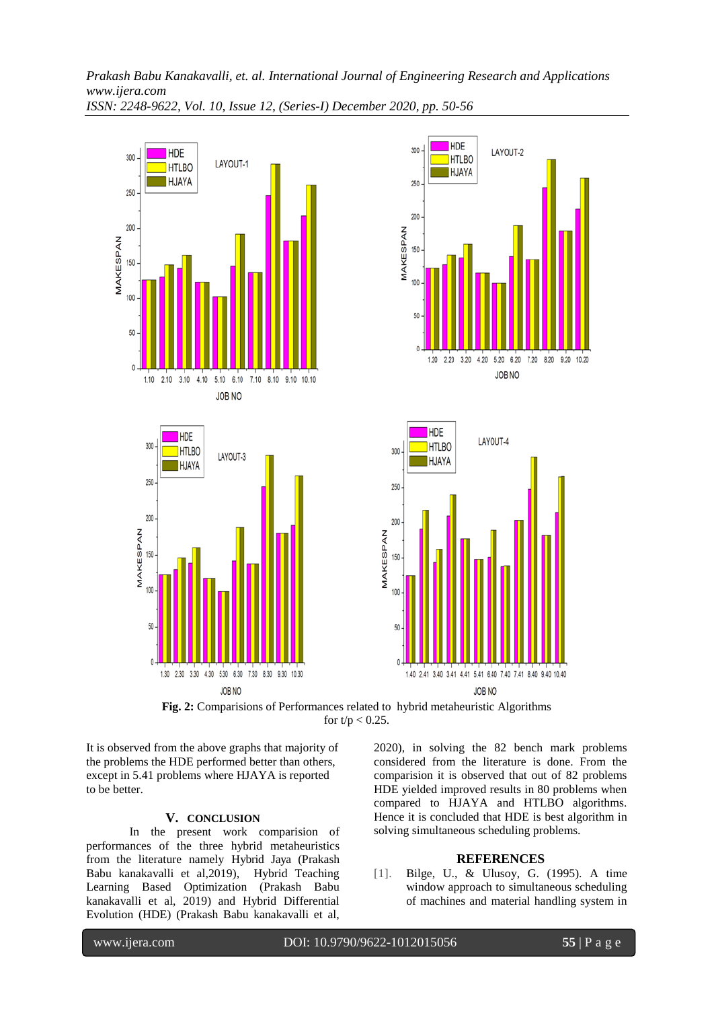



**Fig. 2:** Comparisions of Performances related to hybrid metaheuristic Algorithms for  $t/p < 0.25$ .

It is observed from the above graphs that majority of the problems the HDE performed better than others, except in 5.41 problems where HJAYA is reported to be better.

### **V. CONCLUSION**

In the present work comparision of performances of the three hybrid metaheuristics from the literature namely Hybrid Jaya (Prakash Babu kanakavalli et al,2019), Hybrid Teaching Learning Based Optimization (Prakash Babu kanakavalli et al, 2019) and Hybrid Differential Evolution (HDE) (Prakash Babu kanakavalli et al,

2020), in solving the 82 bench mark problems considered from the literature is done. From the comparision it is observed that out of 82 problems HDE yielded improved results in 80 problems when compared to HJAYA and HTLBO algorithms. Hence it is concluded that HDE is best algorithm in solving simultaneous scheduling problems.

#### **REFERENCES**

[1]. Bilge, U., & Ulusoy, G. (1995). A time window approach to simultaneous scheduling of machines and material handling system in